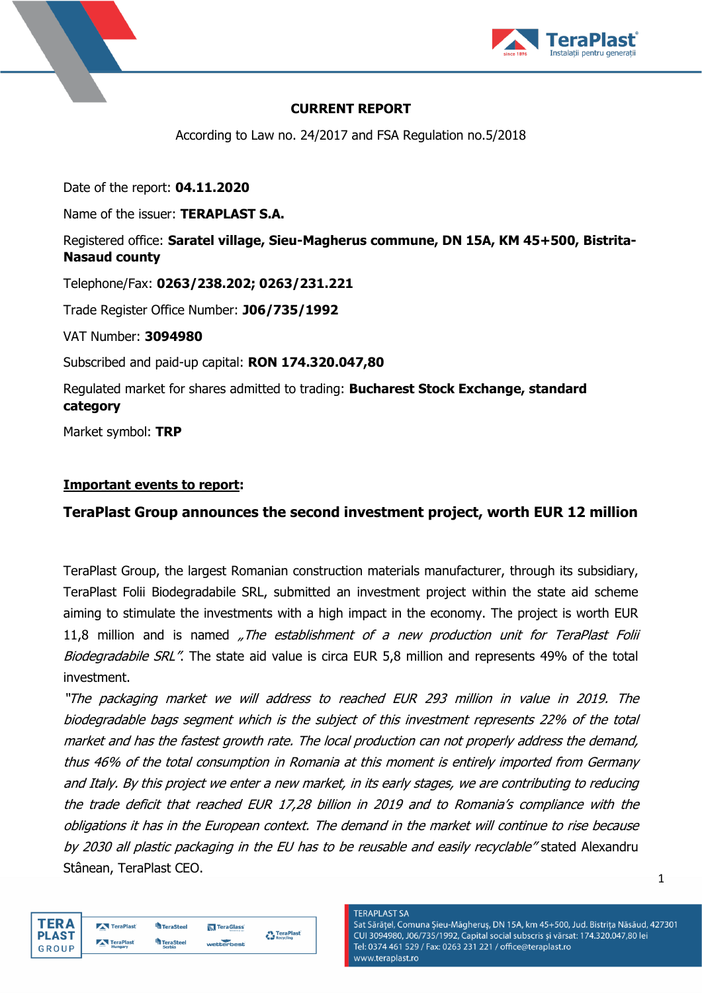



# **CURRENT REPORT**

According to Law no. 24/2017 and FSA Regulation no.5/2018

Date of the report: **04.11.2020**

Name of the issuer: **TERAPLAST S.A.**

Registered office: **Saratel village, Sieu-Magherus commune, DN 15A, KM 45+500, Bistrita-Nasaud county**

Telephone/Fax: **0263/238.202; 0263/231.221**

Trade Register Office Number: **J06/735/1992**

VAT Number: **3094980**

Subscribed and paid-up capital: **RON 174.320.047,80**

Regulated market for shares admitted to trading: **Bucharest Stock Exchange, standard category**

Market symbol: **TRP**

### **Important events to report:**

# **TeraPlast Group announces the second investment project, worth EUR 12 million**

TeraPlast Group, the largest Romanian construction materials manufacturer, through its subsidiary, TeraPlast Folii Biodegradabile SRL, submitted an investment project within the state aid scheme aiming to stimulate the investments with a high impact in the economy. The project is worth EUR 11,8 million and is named "The establishment of a new production unit for TeraPlast Folii Biodegradabile SRL". The state aid value is circa EUR 5,8 million and represents 49% of the total investment.

"The packaging market we will address to reached EUR 293 million in value in 2019. The biodegradable bags segment which is the subject of this investment represents 22% of the total market and has the fastest growth rate. The local production can not properly address the demand, thus 46% of the total consumption in Romania at this moment is entirely imported from Germany and Italy. By this project we enter a new market, in its early stages, we are contributing to reducing the trade deficit that reached EUR 17,28 billion in 2019 and to Romania's compliance with the obligations it has in the European context. The demand in the market will continue to rise because by 2030 all plastic packaging in the EU has to be reusable and easily recyclable" stated Alexandru Stânean, TeraPlast CEO.

| <b>TERA</b>  | TeraPlast | <b>TeraSteel</b> | <b>N</b> TeraGlass | Ter         |
|--------------|-----------|------------------|--------------------|-------------|
| <b>PLAST</b> | TeraPlast | <b>TeraSteel</b> | wetterbest         | <b>Recy</b> |
| GROUP        | Hungary   | Serbia           |                    |             |

**TERAPLAST SA** Sat Sărățel, Comuna Șieu-Măgheruș, DN 15A, km 45+500, Jud. Bistrița Năsăud, 427301 CUI 3094980, J06/735/1992, Capital social subscris și vărsat: 174.320.047,80 lei Tel: 0374 461 529 / Fax: 0263 231 221 / office@teraplast.ro www.teraplast.ro